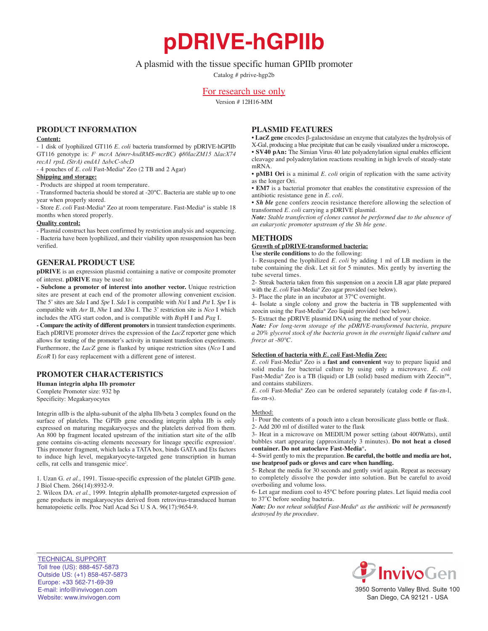**pDRIVE-hGPIIb**

# A plasmid with the tissue specific human GPIIb promoter

Catalog # pdrive-hgp2b

# For research use only

Version # 12H16-MM

### **PrOduct infOrmatiOn**

#### **content:**

- 1 disk of lyophilized GT116 *E. coli* bacteria transformed by pDRIVE-hGPIIb GT116 genotype is: *F- mcrA ∆(mrr-hsdRMS-mcrBC)* f*80lacZM15 ∆lacX74 recA1 rpsL (StrA) endA1 ∆sbcC-sbcD*

- 4 pouches of *E. coli* Fast-Media® Zeo (2 TB and 2 Agar)

### **shipping and storage:**

- Products are shipped at room temperature.

- Transformed bacteria should be stored at -20°C. Bacteria are stable up to one year when properly stored.

- Store *E. coli* Fast-Media® Zeo at room temperature. Fast-Media® is stable 18 months when stored properly.

#### **Quality control:**

- Plasmid construct has been confirmed by restriction analysis and sequencing. - Bacteria have been lyophilized, and their viability upon resuspension has been verified.

#### **General PrOduct use**

**pDRIVE** is an expression plasmid containing a native or composite promoter of interest. **pDRIVE** may be used to:

**- subclone a promoter of interest into another vector.** Unique restriction sites are present at each end of the promoter allowing convenient excision. The 5' sites are *Sda* I and *Spe* I. *Sda* I is compatible with *Nsi* I and *Pst* I. *Spe* I is compatible with *Avr* II, *Nhe* I and *Xba* I. The 3' restriction site is *Nco* I which includes the ATG start codon, and is compatible with *Bsp*H I and *Pag* I.

**- compare the activity of different promoters**in transient transfection experiments. Each pDRIVE promoter drives the expression of the *LacZ* reporter gene which allows for testing of the promoter's activity in transient transfection experiments. Furthermore, the *LacZ* gene is flanked by unique restriction sites (*Nco* I and *EcoR* I) for easy replacement with a different gene of interest.

# **PrOmOter characteristics**

**Human integrin alpha IIb promoter** Complete Promoter size: 932 bp

Specificity: Megakaryocytes

Integrin αIIb is the alpha-subunit of the alpha IIb/beta 3 complex found on the surface of platelets. The GPIIb gene encoding integrin alpha IIb is only expressed on maturing megakaryocyes and the platelets derived from them. An 800 bp fragment located upstream of the initiation start site of the αIIb gene contains cis-acting elements necessary for lineage specific expression<sup>1</sup>. This promoter fragment, which lacks a TATA box, binds GATA and Ets factors to induce high level, megakaryocyte-targeted gene transcription in human cells, rat cells and transgenic mice<sup>2</sup>.

1. Uzan G. *et al.*, 1991. Tissue-specific expression of the platelet GPIIb gene. J Biol Chem. 266(14):8932-9.

2. Wilcox DA. *et al.*, 1999. Integrin alphaIIb promoter-targeted expression of gene products in megakaryocytes derived from retrovirus-transduced human hematopoietic cells. Proc Natl Acad Sci U S A. 96(17):9654-9.

### **Plasmid features**

• **lacZ gene** encodes β-galactosidase an enzyme that catalyzes the hydrolysis of X-Gal, producing a blue precipitate that can be easily visualized under a microscope**.** • **SV40 pAn:** The Simian Virus 40 late polyadenylation signal enables efficient cleavage and polyadenylation reactions resulting in high levels of steady-state mRNA.

• **pMB1 Ori** is a minimal *E. coli* origin of replication with the same activity as the longer Ori.

• **em7** is a bacterial promoter that enables the constitutive expression of the antibiotic resistance gene in *E. coli.*

• *Sh ble* gene confers zeocin resistance therefore allowing the selection of transformed *E. coli* carrying a pDRIVE plasmid.

*Note: Stable transfection of clones cannot be performed due to the absence of an eukaryotic promoter upstream of the Sh ble gene.*

# **METHODS**

**Growth of pDRIVE-transformed bacteria:** 

**use sterile conditions** to do the following: 1- Resuspend the lyophilized *E. coli* by adding 1 ml of LB medium in the tube containing the disk. Let sit for 5 minutes. Mix gently by inverting the tube several times.

2- Streak bacteria taken from this suspension on a zeocin LB agar plate prepared with the *E. coli* Fast-Media® Zeo agar provided (see below).

3- Place the plate in an incubator at 37°C overnight.

4- Isolate a single colony and grow the bacteria in TB supplemented with zeocin using the Fast-Media® Zeo liquid provided (see below).

5- Extract the pDRIVE plasmid DNA using the method of your choice.

*Note: For long-term storage of the pDRIVE-transformed bacteria, prepare a 20% glycerol stock of the bacteria grown in the overnight liquid culture and freeze at -80°C.*

#### **selection of bacteria with** *E. coli* **fast-media Zeo:**

*E. coli* Fast-Media® Zeo is a **fast and convenient** way to prepare liquid and solid media for bacterial culture by using only a microwave. *E. coli* Fast-Media® Zeo is a TB (liquid) or LB (solid) based medium with Zeocin<sup>™</sup>, and contains stabilizers.

*E. coli* Fast-Media® Zeo can be ordered separately (catalog code # fas-zn-l, fas-zn-s).

#### Method:

1- Pour the contents of a pouch into a clean borosilicate glass bottle or flask. 2- Add 200 ml of distilled water to the flask

3- Heat in a microwave on MEDIUM power setting (about 400Watts), until bubbles start appearing (approximately 3 minutes). **Do not heat a closed container. do not autoclave fast-media**®**.**

4- Swirl gently to mix the preparation. **Be careful, the bottle and media are hot, use heatproof pads or gloves and care when handling.**

5- Reheat the media for 30 seconds and gently swirl again. Repeat as necessary to completely dissolve the powder into solution. But be careful to avoid overboiling and volume loss.

6- Let agar medium cool to 45°C before pouring plates. Let liquid media cool to 37˚C before seeding bacteria.

*Note: Do not reheat solidified Fast-Media*® *as the antibiotic will be permanently destroyed by the procedure.*

TECHNICAL SUPPORT Toll free (US): 888-457-5873 Outside US: (+1) 858-457-5873 Europe: +33 562-71-69-39 E-mail: info@invivogen.com Website: www.invivogen.com



3950 Sorrento Valley Blvd. Suite 100 San Diego, CA 92121 - USA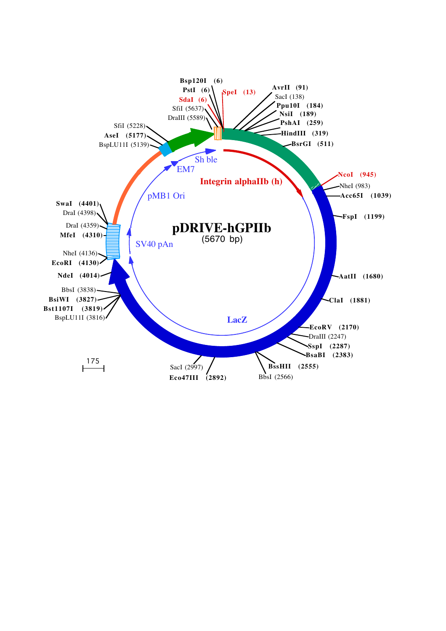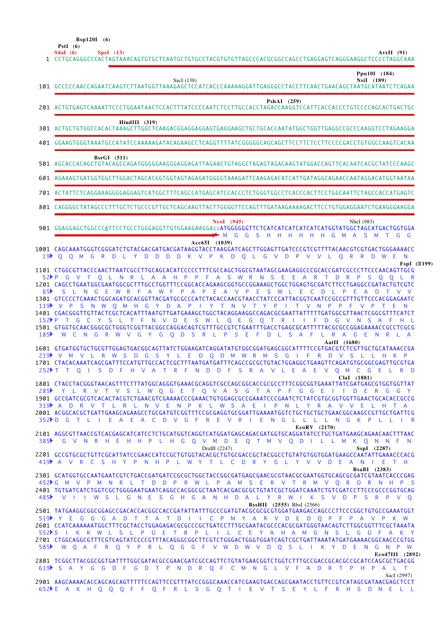**Bsp120I (6)**

|                        | <b>PstI</b> $(6)$<br>Sdal $(6)$<br>AvrII (91)<br>Spel (13)<br>1 CCTGCAGGGCCCACTAGTAAACAGTGTGCTCAATGCTGTGCCTACGTGTGTTAGCCCACGCGGCCAGCCTGAGGAGTCAGGGAAGGCTCCCCTAGGCAAA                                                                                                                                                                                                                                                                                                                                                                                                                                                                                                                                         |  |
|------------------------|--------------------------------------------------------------------------------------------------------------------------------------------------------------------------------------------------------------------------------------------------------------------------------------------------------------------------------------------------------------------------------------------------------------------------------------------------------------------------------------------------------------------------------------------------------------------------------------------------------------------------------------------------------------------------------------------------------------|--|
|                        | Ppu10I (184)<br>NsiI (189)<br>SacI (138)<br>101 GCCCCCAACCAGAATCAAGTCTTAATGGTTAAAGAGCTCCATCACCCAAAAAGGATTGAGGGCCTACCTTCAACTGAACAGCTAATGCATAATCTCAGAA                                                                                                                                                                                                                                                                                                                                                                                                                                                                                                                                                         |  |
|                        | PshAI (259)                                                                                                                                                                                                                                                                                                                                                                                                                                                                                                                                                                                                                                                                                                  |  |
|                        | HindIII (319)<br>301 ACTGCTGTGGCCACACTAAAGCTTGGCTCAAGACGGAGGAGGAGTGAGGAAGCTGCTGCACCAATATGGCTGGTTGAGGCCGCCCAAGGTCCTAGAAGGA                                                                                                                                                                                                                                                                                                                                                                                                                                                                                                                                                                                    |  |
|                        |                                                                                                                                                                                                                                                                                                                                                                                                                                                                                                                                                                                                                                                                                                              |  |
|                        | $BsrGI$ (511)<br>501 AGCACCACAGCTGTACAGCCAGATGGGGGAAGGGAGGAGATTAGAACTGTAGGCTAGAGTAGACAAGTATGGACCAGTTCACAATCACGCTATCCCAAGC                                                                                                                                                                                                                                                                                                                                                                                                                                                                                                                                                                                    |  |
|                        | 601 AGAAAGTGATGGTGGCTTGGACTAGCACGGTGGTAGTAGAGATGGGGTAAAGATTCAAGAGACATCATTGATAGGCAGAACCAATAGGACATGGTAATAA                                                                                                                                                                                                                                                                                                                                                                                                                                                                                                                                                                                                     |  |
|                        | 701 ACTATTCTCAGGAAAGGGGAGGAGTCATGGCTTTCAGCCATGAGCATCCACCCTCTGGGTGGCCTCACCCACTTCCTGGCAATTCTAGCCACCATGAGTC                                                                                                                                                                                                                                                                                                                                                                                                                                                                                                                                                                                                     |  |
|                        | 801 CAGGGGCTATAGCCCTTTGCTCTGCCCGTTGCTCAGCAAGTTACTTGGGGTTCCAGTTTGATAAGAAAAGACTTCCTGTGGAGGAATCTGAAGGGAAGGA                                                                                                                                                                                                                                                                                                                                                                                                                                                                                                                                                                                                     |  |
|                        | <b>NcoI</b> (945)<br>NheI (983)<br>901 GGAGGAGCTGGCCCATTCCTGCCTGGGAGGTTGTGGAAGAAGGAccATGGGGGGTTCTCATCATCATCATCATCATGGTATGGCTAGCATGACTGGTGGA                                                                                                                                                                                                                                                                                                                                                                                                                                                                                                                                                                  |  |
| 19 <sup>5</sup>        | Acc65I (1039)<br>1001 CAGCAAATGGGTCGGGATCTGTACGACGATGACGATAAGGTACCTAAGGATCAGCTTGGAGTTGATCCCGTCGTTTTACAACGTCGTGACTGGGAAAACC<br>O M G R D L Y D D D D K V P K D O L G V D P V V L<br>$\mathsf{O}$<br>ORRDWEN                                                                                                                                                                                                                                                                                                                                                                                                                                                                                                   |  |
|                        | FspI ('T199)<br>1101 CTGGCGTTACCCAACTTAATCGCCTTGCAGCACATCCCCCTTTCGCCAGCTGGCGTAATAGCGAAGAGGCCCGCACCGATCGCCCTTCCCAACAGTTGCG<br>52 P G V T Q L N R L A A H P P F A S W R N S E E A R T D R P S Q Q L R                                                                                                                                                                                                                                                                                                                                                                                                                                                                                                          |  |
| 85 <sup>b</sup><br>185 | S L N G E W R F A W F P A P E A V P E S W L E C D L P<br>- E<br>ADT<br>1301 GTCCCCTCAAACTGGCAGATGCACGGTTACGATGCGCCCATCTACACCAACGTAACCTATCCCATTACGGTCAATCCGCCGTTTGTTCCCACGGAGAATC<br>119 V P S N W O M H G Y D A P I Y T N V T Y P I T V N P P F<br>VPTEN<br>1401 CGACGGGTTGTTACTCGCTCACATTTAATGTTGATGAAAGCTGGCTACAGGAAGGCCAGACGCGAATTATTTTTGATGGCGTTAACTCGGCGTTTCATCT<br>152PT GCY SLTFN V DESWLQE GQTRIIFD GVN SAFHL<br>1501 GTGGTGCAACGGGCGCTGGGTCGGTTACGGCCAGGACAGTCGTTTGCCGTCTGAATTTGACCTGAGCGCATTTTTACGCGCCGGAGAAAACCGCCTCGCG<br>W C N G R W V G Y G O D S R L P S E F<br>D L S A F<br>L R A G E N R L A                                                                                                |  |
|                        | AatII (1680)<br>1601 GTGATGGTGCTGCGTTGGAGTGACGGCAGTTATCTGGAAGATCAGGATATGTGGCGGATGAGCGGCATTTTCCGTGACGTCTCGTTGCTGCATAAACCGA<br>219 V M V L R W S D G S Y L E D Q D M W R M S G I F R D V S<br>LLHKP<br>1701 CTACACAAATCAGCGATTTCCATGTTGCCACTCGCTTTAATGATGATTTCAGCCGCGCTGTACTGGAGGCTGAAGTTCAGATGTGCGGCGAGTTGCGTGA<br>252 FT O IS D F H V A T R F N D D F S R A V L E A E V<br>O M C G E L R D                                                                                                                                                                                                                                                                                                                   |  |
|                        | ClaI (1881)<br>1801 CTACCTACGGGTAACAGTTTCTTTATGGCAGGGTGAAACGCAGGTCGCCAGCGGCACCGCGCCTTTCGGCGGTGAAATTATCGATGAGCGTGGTGGTTAT<br>285 Y L R V T V S L W Q G E T Q V A S G T A P F G G E I I D E R G G Y<br>1901 GCCGATCGCGTCACACTACGTCTGAACGTCGAAAACCCGAAACTGTGGAGCGCCGAAATCCCGAATCTCTATCGTGCGGTGGTTGAACTGCACACCGCCG<br>319 A D R V T L R L N V E N P K L W S A E I P N L Y R A V V E L H T A<br>2001 ACGGCACGCTGATTGAAGCAGAAGCCTGCGATGTCGGTTTCCGCGAGGTGCGGATTGAAAATGGTCTGCTGCTGCTGAACGGCAAGCCGTTGCTGATTCG<br>352D G T L I E A E A C D V G F R E V R I E N G L L L N G K P L L I R                                                                                                                                 |  |
|                        | $EcoRV$ (2170)<br>2101 AGGCGTTAACCGTCACGAGCATCATCCTCTGCATGGTCAGGTCATGGATGAGCAGACGATGGTGCAGGATATCCTGCTGATGAAGCAGAACAACTTTAAC<br>385 C V N R H E H H P L H G Q V M D E Q T M V Q D I L L M K Q N N F N<br>DraIII (2247)<br>$SspI$ (2287)<br>2201 GCCGTGCGCTGTTCGCATTATCCGAACCATCCGCTGTGGTACACGCTGTGCGACCGCTACGGCCTGTATGTGGTGGATGAAGCCAATATTGAAACCCACG<br>419 A V R C S H Y P N H P L W Y T L C D R Y G L Y V V D E A N I E T H                                                                                                                                                                                                                                                                                 |  |
|                        | <b>BsaBI</b> (2383)<br>2301 GCATGGTGCCAATGAATCGTCTGACCGATGATCCGCGCTGGCTACCGGCGATGAGCGAACGCGTAACGCGAATGGTGCAGCGCGATCGTAATCACCCGAG<br>452▶G M V P M N R L T D D P R W L P A M S E R V T R M V Q R D R N H P S<br>485▶ VIIWSLGNESGHGANHDALYRWIKSVDPSRPVO                                                                                                                                                                                                                                                                                                                                                                                                                                                        |  |
|                        | <b>BssHII</b> (2555) BbsI (2566)<br>519 Y E G G G A D T T A T D I I C P M Y A R V D E D Q P F P A V P K W<br>2601 CCATCAAAAAATGGCTTTCGCTACCTGGAGAGACGCGCCCGCTGATCCTTTGCGAATACGCCCACGCGATGGGTAACAGTCTTGGCGGTTTCGCTAAATA<br>552 S I K K W L S L P G E T R P L I L C E Y A H A M G N S L G G F A K Y<br>2701 CTGGCAGGCGTTTCGTCAGTATCCCCGTTTACAGGGCGGCTTCGTCTGGGACTGGGTGGATCAGTCGCTGATTAAATATGATGAAAACGGCAACCCGTGG<br>585▶ W Q A F R Q Y P R L Q G G F V W D W V D Q S L I K Y D E N G N P W<br>Eco47III (2892)<br>2801 TCGGCTTACGGCGGTGATTTTGGCGATACGCCGAACGATCGCCAGTTCTGTATGAACGGTCTGGTCTTTGCCGACCGCACGCCGCATCCAGCGCTGACGG<br>619 AY GG D F G D T P N D R Q F C M N G L V F A D R T P H P A L T<br>SacI (2997) |  |
|                        | 2901 AAGCAAAACACCAGCAGCAGTTTTTCCAGTTCCGTTTATCCGGCGAAACCATCGAAGTGACCAGCGAATACCTGTTCCGTCATAGCGATAACGAGCTCCT<br>652▶E A K H Q Q Q F F Q F R L S G Q T I E V T S E Y L F R H S D N E L L                                                                                                                                                                                                                                                                                                                                                                                                                                                                                                                         |  |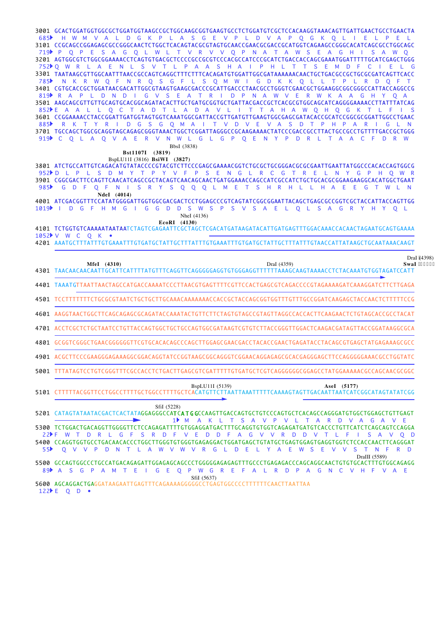GCACTGGATGGTGGCGCTGGATGGTAAGCCGCTGGCAAGCGGTGAAGTGCCTCTGGATGTCGCTCCACAAGGTAAACAGTTGATTGAACTGCCTGAACTA 3001 3101 CCGCAGCCGGAGAGCGCCGGGCAACTCTGGCTCACAGTACGCGTAGTGCAACCGAACGCGACCGCATGGTCAGAAGCCGGGCACATCAGCGCCTGGCAGC 3201 AGTGGCGTCTGGCGGAAAACCTCAGTGTGACGCTCCCCGCCGCGTCCCACGCCATCCCGCATCTGACCACCAGCGAAATGGATTTTTGCATCGAGCTGGG TAATAAGCGTTGGCAATTTAACCGCCAGTCAGGCTTTCTTTCACAGATGTGGATTGGCGATAAAAAACAACTGCTGACGCCGCTGCGCGATCAGTTCACC 3301 3401 CGTGCACCGCTGGATAACGACATTGGCGTAAGTGAAGCGACCCGCATTGACCCTAACGCCTGGGTCGAACGCTGGAAGGCGGCGGCCATTACCAGGCCG AAGCAGCGTTGTTGCAGTGCACGGCAGATACACTTGCTGATGCGGTGCTGATTACGACCGCTCACGCGTGGCAGCATCAGGGGAAAACCTTATTTATCAG 3501 CCGGAAAACCTACCGGATTGATGGTAGTGGTCAAATGGCGATTACCGTTGATGTTGAAGTGGCGAGCGATACACCGCATCCGGCGCGGATTGGCCTGAAC 3601 3701 TGCCAGCTGGCGCAGGTAGCAGAGCGGGTAAACTGGCTCGGATTAGGGCCGCAAGAAAACTATCCCGACCGCCTTACTGCCGCCTGTTTTGACCGCTGGG H W M V A L D G K P L A S G E V P L D V A P Q G K Q L I E L P E L 685 P Q P E S A G Q L W L T V R V V Q P N A T A W S E A G H I S A W Q 719 Q W R L A E N L S V T L P A A S H A I P H L T T S E M D F C I E L G 752 N K R W Q F N R Q S G F L S Q M W I G D K K Q L L T P L R D Q F T 785 819 PRAPL D N D I G V S E A T R I D P N A W V E R W K A A G H Y Q A 852ÞE A A L L Q C T A D T L A D A V L I T T A H A W Q H Q G K T L F I S 885N R K T Y R I D G S G Q M A I T V D V E V A S D T P H P A R I G L N 919PC Q L A Q V A E R V N W L G L G P Q E N Y P D R L T A A C F D R W BbsI (3838)

# **Bst1107I (3819)**

BspLU11I (3816) **BsiWI (3827)**

3801 ATCTGCCATTGTCAGACATGTATACCCCGTACGTCTTCCCGAGCGAAAACGGTCTGCGCTGCGGGACGCGCGAATTGAATTATGGCCCACACCAGTGGCG 3901 CGGCGACTTCCAGTTCAACATCAGCCGCTACAGTCAACAGCAACTGATGGAAACCAGCCATCGCCATCTGCTGCACGCGGAAGAAGGCACATGGCTGAAT 952PD L P L S D M Y T P Y V F P S E N G L R C G T R E L N Y G P H Q W R G D F Q F N I S R Y S Q Q Q L M E T S H R H L L H A E E G T W L N 985 **NdeI (4014)**

4001 ATCGACGGTTTCCATATGGGGATTGGTGGCGACGACTCCTGGAGCCCGTCAGTATCGGCGGAATTACAGCTGAGCGCCGGTCGCTACCATTACCAGTTGG 1019 I D G F H M G I G G D D S W S P S V S A E L Q L S A G R Y H Y Q L NheI (4136)

**EcoRI (4130)**

TCTGGTGTCAAAAATAATAATCTAGTCGAGAATTCGCTAGCTCGACATGATAAGATACATTGATGAGTTTGGACAAACCACAACTAGAATGCAGTGAAAA 4101 1052 V W C Q K •

AAATGCTTTATTTGTGAAATTTGTGATGCTATTGCTTTATTTGTGAAATTTGTGATGCTATTGCTTTATTTGTAACCATTATAAGCTGCAATAAACAAGT 4201

| 4301                                    | DraI (4359)<br>MfeI (4310)<br>TAACAACAACAATTGCATTCATTTTATGTTTCAGGTTCAGGGGAGGTGTGGGAGGT<br>TTTTTAAAGCAAGTAAAACCTCTACAAATGTGGTAGATCCATT                                                                                                                                                                                                                                                                               | DraI (4398)<br>SwaI *6623+ |
|-----------------------------------------|---------------------------------------------------------------------------------------------------------------------------------------------------------------------------------------------------------------------------------------------------------------------------------------------------------------------------------------------------------------------------------------------------------------------|----------------------------|
|                                         | 4401 TAAATGTTAATTAACTAGCCATGACCAAAATCCCTTAACGTGAGTTTTCGTTCCACTGAGCGTCAGACCCCGTAGAAAAGATCAAAGGATCTTCTTGAGA                                                                                                                                                                                                                                                                                                           |                            |
| 4501                                    |                                                                                                                                                                                                                                                                                                                                                                                                                     |                            |
| 4601                                    | AAGGTAACTGGCTTCAGCAGAGCGCAGATACCAAATACTGTTCTTCTAGTGTAGCCGTAGTTAGGCCACCACTTCAAGAACTCTGTAGCACCGCCTACAT                                                                                                                                                                                                                                                                                                                |                            |
| 4701                                    | ACCTCGCTCTGCTAATCCTGTTACCAGTGGCTGCTGCCAGTGGCGATAAGTCGTGTCTTACCGGGTTGGACTCAAGACGATAGTTACCGGATAAGGCGCA                                                                                                                                                                                                                                                                                                                |                            |
| 4801                                    | GCGGTCGGGCTGAACGGGGGGTTCGTGCACACAGCCCAGCTTGGAGCGAACGACCTACACCGAACTGAGATACCTACAGCGTGAGCTATGAGAAAGCGCC                                                                                                                                                                                                                                                                                                                |                            |
| 4901                                    | ACGCTTCCCGAAGGGAGAAAGGCGGACACAGTATCCGGTAAGCGGCAGGGTCGGAACAGGAGAGCGCACGAGGGAGCTTCCAGGGGAAACGCCTGGTATC                                                                                                                                                                                                                                                                                                                |                            |
| 5001                                    | TTTATAGTCCTGTCGGGTTTCGCCACCTCTGACTTGAGCGTCGATTTTTGTGATGCTCGTCAGGGGGCGGAGCCTATGGAAAAACGCCAGCAACGCGGC                                                                                                                                                                                                                                                                                                                 |                            |
| 5101                                    | BspLU11I (5139)<br>AseI (5177)<br><b>FGCTCACATGTTCTTAATTAAATT</b><br><b>TGACAATTAATCATCGGCATAGTATATCGG</b><br><b>TCAAAAGTAGT</b><br>TACGGTTCCTGGCCT                                                                                                                                                                                                                                                                 |                            |
| 5201<br>5300<br>5400<br>55 <sup>b</sup> | SfiI (5228)<br>CATAGTATAATACGACTCACTATAGGAGGGCCA <b>TCATGG</b> CCAAGTTGACCAGTGCTGTCCCAGTGCTCACAGCCAGGGATGTGGCTGGAGCTGTTGAGT<br>GGTCAGAGATGATGTCACCC<br>TCATCTCAGCAGTCCAGGA<br><b>CCAGAGATI</b><br>GTGGAGGATGAC1<br>'TTGCAGGTG1<br>⊧ ⊏<br>Α<br>W<br>G<br>D<br>TGGGTGTGGGTGAGAGGACTGGATGAGCTGTATGCTGAGTGGAGTGAGGTGGT<br>CCAGGTGGTGCCTGACAACACCCTGGCT<br>R<br>0<br>R<br>D<br>s<br>n<br>G<br>F<br>F<br>F<br>N<br>w<br>N | D<br><sup>o</sup><br>D     |
| 5500<br>89 <sup>2</sup>                 | DraIII (5589)<br>GCCAGTGGCCCTGCCATGACAGAGATTGGAGAGCAGCCCTGGGGGAGAGAGTTTGCCCTGAGAGACCCAGCAGGCAACTGTGTGCACTTTGTGGCAGAGG<br>$\mathsf{A}$<br>Ε<br>$\mathbf{O}$<br>P<br><sub>S</sub><br>G<br>W<br>G<br><b>R</b><br>E<br>P<br>C.<br>$\Delta$<br>G<br>Æ<br>Ð<br>G<br>N.<br>A<br>A<br>SfiI (5637)                                                                                                                           | -E                         |

AGCAGGACTGAGGATAAGAATTGAGTTTCAGAAAAGGGGGCCTGAGTGGCCCCTTTTTTCAACTTAATTA A 5600 122**F** Q D •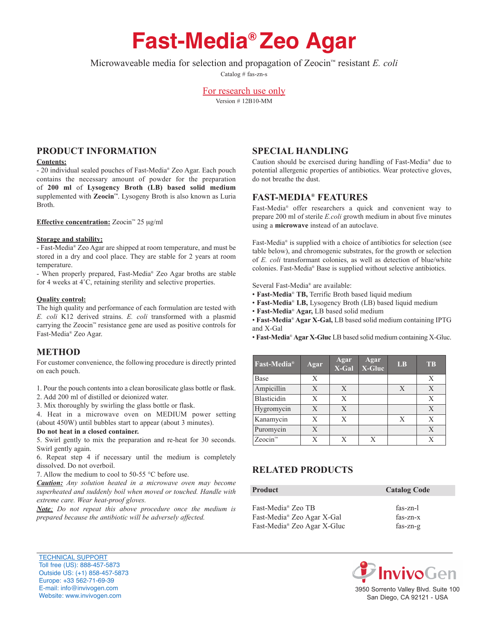# **Fast-Media® Zeo Agar**

Microwaveable media for selection and propagation of Zeocin™ resistant *E. coli*

Catalog # fas-zn-s

For research use only Version # 12B10-MM

# **prOducT inFOrMATiOn**

#### **contents:**

- 20 individual sealed pouches of Fast-Media® Zeo Agar. Each pouch contains the necessary amount of powder for the preparation of **200 ml** of **Lysogency Broth (LB) based solid medium** supplemented with **Zeocin™**. Lysogeny Broth is also known as Luria Broth.

### **effective concentration:** Zeocin™ 25 mg/ml

#### **Storage and stability:**

- Fast-Media® Zeo Agar are shipped at room temperature, and must be stored in a dry and cool place. They are stable for 2 years at room temperature.

- When properly prepared, Fast-Media® Zeo Agar broths are stable for 4 weeks at 4˚C, retaining sterility and selective properties.

#### **Quality control:**

The high quality and performance of each formulation are tested with *E. coli* K12 derived strains. *E. coli* transformed with a plasmid carrying the Zeocin™ resistance gene are used as positive controls for Fast-Media® Zeo Agar.

# **METHOD**

For customer convenience, the following procedure is directly printed on each pouch.

- 1. Pour the pouch contents into a clean borosilicate glass bottle or flask.
- 2. Add 200 ml of distilled or deionized water.

3. Mix thoroughly by swirling the glass bottle or flask.

4. Heat in a microwave oven on MEDIUM power setting (about 450W) until bubbles start to appear (about 3 minutes).

#### **do not heat in a closed container.**

5. Swirl gently to mix the preparation and re-heat for 30 seconds. Swirl gently again.

6. Repeat step 4 if necessary until the medium is completely dissolved. Do not overboil.

7. Allow the medium to cool to 50-55 °C before use.

*Caution: Any solution heated in a microwave oven may become superheated and suddenly boil when moved or touched. Handle with extreme care. Wear heat-proof gloves.*

*Note: Do not repeat this above procedure once the medium is prepared because the antibiotic will be adversely affected.*

# **SpeciAL hAndLinG**

Caution should be exercised during handling of Fast-Media® due to potential allergenic properties of antibiotics. Wear protective gloves, do not breathe the dust.

# **FAST-MediA® FeATureS**

Fast-Media® offer researchers a quick and convenient way to prepare 200 ml of sterile *E.coli* growth medium in about five minutes using a **microwave** instead of an autoclave.

Fast-Media® is supplied with a choice of antibiotics for selection (see table below), and chromogenic substrates, for the growth or selection of *E. coli* transformant colonies, as well as detection of blue/white colonies. Fast-Media® Base is supplied without selective antibiotics.

Several Fast-Media® are available:

- **Fast-Media**® **TB,** Terrific Broth based liquid medium
- **Fast-Media**® **LB,** Lysogency Broth (LB) based liquid medium
- **Fast-Media**® **Agar,** LB based solid medium

• **Fast-Media**® **Agar X-Gal,** LB based solid medium containing IPTG and X-Gal

• **Fast-Media**® **Agar X-Gluc** LB based solid medium containing X-Gluc.

| Fast-Media <sup>®</sup> | Agar         | Agar<br>X-Gal | Agar<br>X-Gluc | <b>LB</b> | <b>TB</b>    |
|-------------------------|--------------|---------------|----------------|-----------|--------------|
| Base                    | X            |               |                |           | X            |
| Ampicillin              | $\mathbf{X}$ | X             |                | X         | $\mathbf{X}$ |
| Blasticidin             | X            | X             |                |           | X            |
| Hygromycin              | X            | X             |                |           | X            |
| Kanamycin               | X            | X             |                | X         | X            |
| Puromycin               | X            |               |                |           | X            |
| Zeocin <sup>™</sup>     | Х            | X             | X              |           | X            |

# **reLATed prOducTS**

| <b>Product</b>                 | <b>Catalog Code</b> |
|--------------------------------|---------------------|
| Fast-Media <sup>®</sup> Zeo TB | $fas-zn-l$          |
| Fast-Media® Zeo Agar X-Gal     | $fas-zn-x$          |
| Fast-Media® Zeo Agar X-Gluc    | $fas-zn-g$          |



San Diego, CA 92121 - USA

TECHNICAL SUPPORT Toll free (US): 888-457-5873 Outside US: (+1) 858-457-5873 Europe: +33 562-71-69-39 E-mail: info@invivogen.com Website: www.invivogen.com